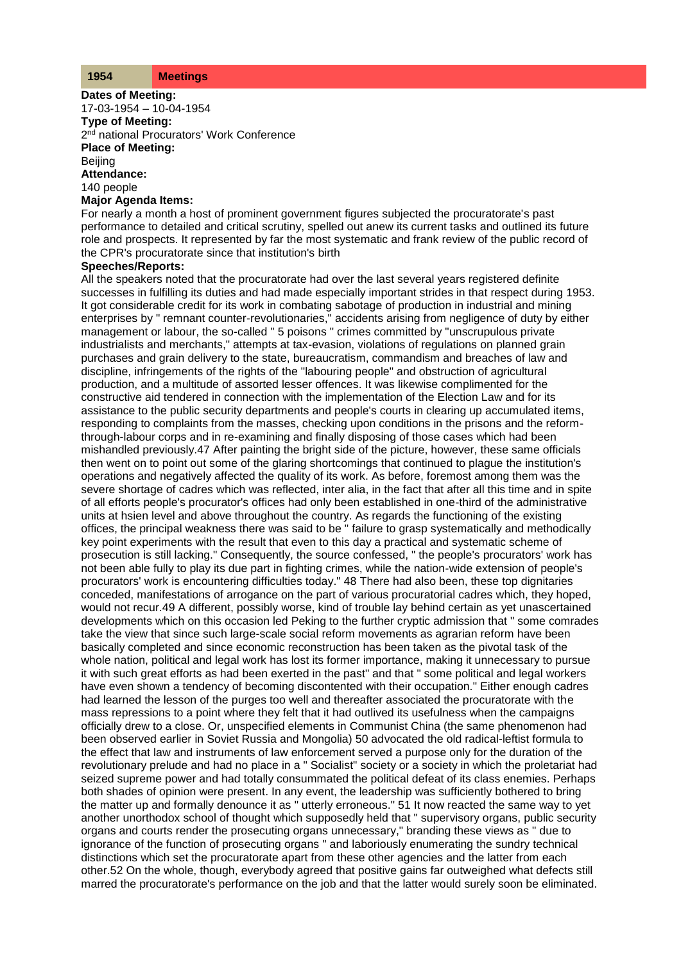# **Dates of Meeting:**

17-03-1954 – 10-04-1954 **Type of Meeting:** 2<sup>nd</sup> national Procurators' Work Conference **Place of Meeting:** Beijing **Attendance:**

140 people

### **Major Agenda Items:**

For nearly a month a host of prominent government figures subjected the procuratorate's past performance to detailed and critical scrutiny, spelled out anew its current tasks and outlined its future role and prospects. It represented by far the most systematic and frank review of the public record of the CPR's procuratorate since that institution's birth

#### **Speeches/Reports:**

All the speakers noted that the procuratorate had over the last several years registered definite successes in fulfilling its duties and had made especially important strides in that respect during 1953. It got considerable credit for its work in combating sabotage of production in industrial and mining enterprises by " remnant counter-revolutionaries," accidents arising from negligence of duty by either management or labour, the so-called " 5 poisons " crimes committed by "unscrupulous private industrialists and merchants," attempts at tax-evasion, violations of regulations on planned grain purchases and grain delivery to the state, bureaucratism, commandism and breaches of law and discipline, infringements of the rights of the "labouring people" and obstruction of agricultural production, and a multitude of assorted lesser offences. It was likewise complimented for the constructive aid tendered in connection with the implementation of the Election Law and for its assistance to the public security departments and people's courts in clearing up accumulated items, responding to complaints from the masses, checking upon conditions in the prisons and the reformthrough-labour corps and in re-examining and finally disposing of those cases which had been mishandled previously.47 After painting the bright side of the picture, however, these same officials then went on to point out some of the glaring shortcomings that continued to plague the institution's operations and negatively affected the quality of its work. As before, foremost among them was the severe shortage of cadres which was reflected, inter alia, in the fact that after all this time and in spite of all efforts people's procurator's offices had only been established in one-third of the administrative units at hsien level and above throughout the country. As regards the functioning of the existing offices, the principal weakness there was said to be " failure to grasp systematically and methodically key point experiments with the result that even to this day a practical and systematic scheme of prosecution is still lacking." Consequently, the source confessed, " the people's procurators' work has not been able fully to play its due part in fighting crimes, while the nation-wide extension of people's procurators' work is encountering difficulties today." 48 There had also been, these top dignitaries conceded, manifestations of arrogance on the part of various procuratorial cadres which, they hoped, would not recur.49 A different, possibly worse, kind of trouble lay behind certain as yet unascertained developments which on this occasion led Peking to the further cryptic admission that " some comrades take the view that since such large-scale social reform movements as agrarian reform have been basically completed and since economic reconstruction has been taken as the pivotal task of the whole nation, political and legal work has lost its former importance, making it unnecessary to pursue it with such great efforts as had been exerted in the past" and that " some political and legal workers have even shown a tendency of becoming discontented with their occupation." Either enough cadres had learned the lesson of the purges too well and thereafter associated the procuratorate with the mass repressions to a point where they felt that it had outlived its usefulness when the campaigns officially drew to a close. Or, unspecified elements in Communist China (the same phenomenon had been observed earlier in Soviet Russia and Mongolia) 50 advocated the old radical-leftist formula to the effect that law and instruments of law enforcement served a purpose only for the duration of the revolutionary prelude and had no place in a " Socialist" society or a society in which the proletariat had seized supreme power and had totally consummated the political defeat of its class enemies. Perhaps both shades of opinion were present. In any event, the leadership was sufficiently bothered to bring the matter up and formally denounce it as " utterly erroneous." 51 It now reacted the same way to yet another unorthodox school of thought which supposedly held that " supervisory organs, public security organs and courts render the prosecuting organs unnecessary," branding these views as " due to ignorance of the function of prosecuting organs " and laboriously enumerating the sundry technical distinctions which set the procuratorate apart from these other agencies and the latter from each other.52 On the whole, though, everybody agreed that positive gains far outweighed what defects still marred the procuratorate's performance on the job and that the latter would surely soon be eliminated.